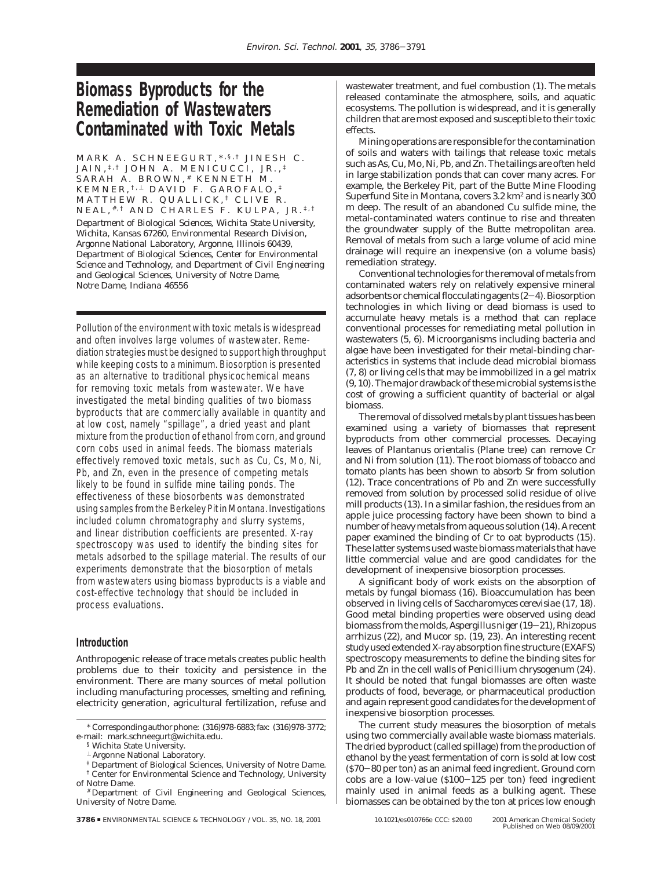# **Biomass Byproducts for the Remediation of Wastewaters Contaminated with Toxic Metals**

MARK A. SCHNEEGURT,\* ,§,† JINESH C. JAIN, ‡,† JOHN A. MENICUCCI, JR., ‡ SARAH A. BROWN, # KENNETH M. KEMNER,†,⊥ DAVID F. GAROFALO,‡ MATTHEW R. QUALLICK, ‡ CLIVE R. NEAL, #,† AND CHARLES F. KULPA, JR. ‡,†

*Department of Biological Sciences, Wichita State University, Wichita, Kansas 67260, Environmental Research Division, Argonne National Laboratory, Argonne, Illinois 60439, Department of Biological Sciences, Center for Environmental Science and Technology, and Department of Civil Engineering and Geological Sciences, University of Notre Dame, Notre Dame, Indiana 46556*

Pollution of the environment with toxic metals is widespread and often involves large volumes of wastewater. Remediation strategies must be designed to support high throughput while keeping costs to a minimum. Biosorption is presented as an alternative to traditional physicochemical means for removing toxic metals from wastewater. We have investigated the metal binding qualities of two biomass byproducts that are commercially available in quantity and at low cost, namely "spillage", a dried yeast and plant mixture from the production of ethanol from corn, and ground corn cobs used in animal feeds. The biomass materials effectively removed toxic metals, such as Cu, Cs, Mo, Ni, Pb, and Zn, even in the presence of competing metals likely to be found in sulfide mine tailing ponds. The effectiveness of these biosorbents was demonstrated using samples from the Berkeley Pit in Montana. Investigations included column chromatography and slurry systems, and linear distribution coefficients are presented. X-ray spectroscopy was used to identify the binding sites for metals adsorbed to the spillage material. The results of our experiments demonstrate that the biosorption of metals from wastewaters using biomass byproducts is a viable and cost-effective technology that should be included in process evaluations.

# **Introduction**

Anthropogenic release of trace metals creates public health problems due to their toxicity and persistence in the environment. There are many sources of metal pollution including manufacturing processes, smelting and refining, electricity generation, agricultural fertilization, refuse and

§ Wichita State University.

**3786 ENVIRONMENTAL SCIENCE & TECHNOLOGY / VOL. 35, NO. 18, 2001 10.1021/es010766e CCC: \$20.00** 

wastewater treatment, and fuel combustion (*1*). The metals released contaminate the atmosphere, soils, and aquatic ecosystems. The pollution is widespread, and it is generally children that are most exposed and susceptible to their toxic effects.

Mining operations are responsible for the contamination of soils and waters with tailings that release toxic metals such as As, Cu, Mo, Ni, Pb, and Zn. The tailings are often held in large stabilization ponds that can cover many acres. For example, the Berkeley Pit, part of the Butte Mine Flooding Superfund Site in Montana, covers  $3.2 \text{ km}^2$  and is nearly  $300$ m deep. The result of an abandoned Cu sulfide mine, the metal-contaminated waters continue to rise and threaten the groundwater supply of the Butte metropolitan area. Removal of metals from such a large volume of acid mine drainage will require an inexpensive (on a volume basis) remediation strategy.

Conventional technologies for the removal of metals from contaminated waters rely on relatively expensive mineral adsorbents or chemical flocculating agents (*2*-*4*). Biosorption technologies in which living or dead biomass is used to accumulate heavy metals is a method that can replace conventional processes for remediating metal pollution in wastewaters (*5, 6*). Microorganisms including bacteria and algae have been investigated for their metal-binding characteristics in systems that include dead microbial biomass (*7, 8*) or living cells that may be immobilized in a gel matrix (*9, 10*). The major drawback of these microbial systems is the cost of growing a sufficient quantity of bacterial or algal biomass.

The removal of dissolved metals by plant tissues has been examined using a variety of biomasses that represent byproducts from other commercial processes. Decaying leaves of *Plantanus orientalis* (Plane tree) can remove Cr and Ni from solution (*11*). The root biomass of tobacco and tomato plants has been shown to absorb Sr from solution (*12*). Trace concentrations of Pb and Zn were successfully removed from solution by processed solid residue of olive mill products (*13*). In a similar fashion, the residues from an apple juice processing factory have been shown to bind a number of heavy metals from aqueous solution (*14*). A recent paper examined the binding of Cr to oat byproducts (*15*). These latter systems used waste biomass materials that have little commercial value and are good candidates for the development of inexpensive biosorption processes.

A significant body of work exists on the absorption of metals by fungal biomass (*16*). Bioaccumulation has been observed in living cells of *Saccharomyces cerevisiae* (*17, 18*). Good metal binding properties were observed using dead biomass from the molds, *Aspergillus niger* (*19*-*21*), *Rhizopus arrhizus* (*22*), and *Mucor* sp. (*19, 23*). An interesting recent study used extended X-ray absorption fine structure (EXAFS) spectroscopy measurements to define the binding sites for Pb and Zn in the cell walls of *Penicillium chrysogenum* (*24*). It should be noted that fungal biomasses are often waste products of food, beverage, or pharmaceutical production and again represent good candidates for the development of inexpensive biosorption processes.

The current study measures the biosorption of metals using two commercially available waste biomass materials. The dried byproduct (called spillage) from the production of ethanol by the yeast fermentation of corn is sold at low cost (\$70-80 per ton) as an animal feed ingredient. Ground corn cobs are a low-value (\$100-125 per ton) feed ingredient mainly used in animal feeds as a bulking agent. These biomasses can be obtained by the ton at prices low enough

<sup>\*</sup> Corresponding author phone: (316)978-6883; fax: (316)978-3772; e-mail: mark.schneegurt@wichita.edu.

<sup>⊥</sup> Argonne National Laboratory.

<sup>‡</sup> Department of Biological Sciences, University of Notre Dame. † Center for Environmental Science and Technology, University of Notre Dame.

<sup>#</sup> Department of Civil Engineering and Geological Sciences, University of Notre Dame.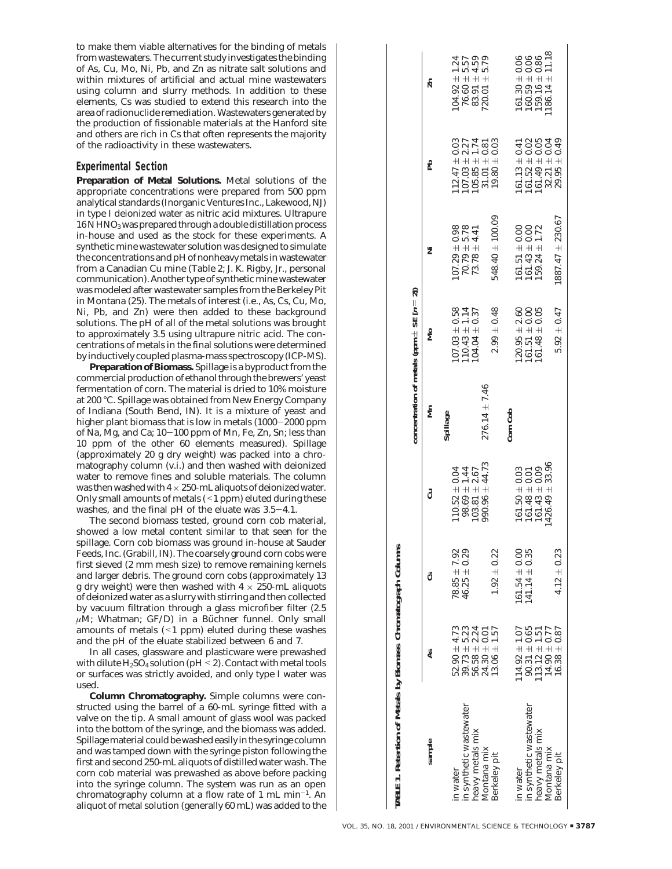to make them viable alternatives for the binding of metals from wastewaters. The current study investigates the binding of As, Cu, Mo, Ni, Pb, and Zn as nitrate salt solutions and within mixtures of artificial and actual mine wastewaters using column and slurry methods. In addition to these elements, Cs was studied to extend this research into the area of radionuclide remediation. Wastewaters generated by the production of fissionable materials at the Hanford site and others are rich in Cs that often represents the majority of the radioactivity in these wastewaters.

# **Experimental Section**

**Preparation of Metal Solutions.** Metal solutions of the appropriate concentrations were prepared from 500 ppm analytical standards (Inorganic Ventures Inc., Lakewood, NJ) in type I deionized water as nitric acid mixtures. Ultrapure  $16$  N HNO<sub>3</sub> was prepared through a double distillation process in-house and used as the stock for these experiments. A synthetic mine wastewater solution was designed to simulate the concentrations and pH of nonheavy metals in wastewater from a Canadian Cu mine (Table 2; J. K. Rigby, Jr., personal communication). Another type of synthetic mine wastewater was modeled after wastewater samples from the Berkeley Pit in Montana (*25*). The metals of interest (i.e., As, Cs, Cu, Mo, Ni, Pb, and Zn) were then added to these background solutions. The pH of all of the metal solutions was brought to approximately 3.5 using ultrapure nitric acid. The concentrations of metals in the final solutions were determined by inductively coupled plasma-mass spectroscopy (ICP-MS).

**Preparation of Biomass.** Spillage is a byproduct from the commercial production of ethanol through the brewers' yeast fermentation of corn. The material is dried to 10% moisture at 200 °C. Spillage was obtained from New Energy Company of Indiana (South Bend, IN). It is a mixture of yeast and higher plant biomass that is low in metals (1000-2000 ppm of Na, Mg, and Ca; 10-100 ppm of Mn, Fe, Zn, Sn; less than 10 ppm of the other 60 elements measured). Spillage (approximately 20 g dry weight) was packed into a chromatography column (v.i.) and then washed with deionized water to remove fines and soluble materials. The column was then washed with  $4\times250$ -mL aliquots of deionized water. Only small amounts of metals (<1 ppm) eluted during these washes, and the final pH of the eluate was 3.5-4.1.

The second biomass tested, ground corn cob material, showed a low metal content similar to that seen for the spillage. Corn cob biomass was ground in-house at Sauder Feeds, Inc. (Grabill, IN). The coarsely ground corn cobs were first sieved (2 mm mesh size) to remove remaining kernels and larger debris. The ground corn cobs (approximately 13 g dry weight) were then washed with  $4 \times 250$ -mL aliquots of deionized water as a slurry with stirring and then collected by vacuum filtration through a glass microfiber filter (2.5  $\mu$ M; Whatman; GF/D) in a Büchner funnel. Only small amounts of metals (<1 ppm) eluted during these washes and the pH of the eluate stabilized between 6 and 7.

In all cases, glassware and plasticware were prewashed with dilute  $H_2SO_4$  solution (pH  $\leq$  2). Contact with metal tools or surfaces was strictly avoided, and only type I water was used.

**Column Chromatography.** Simple columns were constructed using the barrel of a 60-mL syringe fitted with a valve on the tip. A small amount of glass wool was packed into the bottom of the syringe, and the biomass was added. Spillage material could be washed easily in the syringe column and was tamped down with the syringe piston following the first and second 250-mL aliquots of distilled water wash. The corn cob material was prewashed as above before packing into the syringe column. The system was run as an open chromatography column at a flow rate of 1 mL min<sup>-1</sup>. An aliquot of metal solution (generally 60 mL) was added to the

| <b>TABLE 1. Retention of Metals by Biomass Chromatograph Columns</b> |                   |                   |                     |                   |                                                    |                      |                   |                    |
|----------------------------------------------------------------------|-------------------|-------------------|---------------------|-------------------|----------------------------------------------------|----------------------|-------------------|--------------------|
|                                                                      |                   |                   |                     |                   | concentration of metals (ppm $\pm$ SE [ $n = 2$ ]) |                      |                   |                    |
| sample                                                               | á                 |                   | ā                   | ⋚                 | δ                                                  | Ξ                    | P,                | $\overline{1}$     |
|                                                                      |                   |                   |                     | Spillage          |                                                    |                      |                   |                    |
| in water                                                             | $52.90 \pm 4.73$  | $78.85 \pm 7.92$  | $10.52 \pm 0.04$    |                   | $07.03 \pm 0.58$                                   | $107.29 \pm 0.98$    | $12.47 \pm 0.03$  | $104.92 \pm 1.24$  |
| in synthetic wastewater                                              | $39.73 \pm 5.23$  | $46.25 \pm 0.29$  | $98.69 \pm 1.44$    |                   | $10.43 \pm 1.14$                                   | $70.79 \pm 5.78$     | $107.03 + 2.27$   | $76.60 \pm 5.57$   |
| heavy metals mix                                                     | $56.58 \pm 2.24$  |                   | $103.81 \pm 2.67$   |                   | $04.04 \pm 0.37$                                   | 73.78 $\pm$ 4.41     | $105.85 \pm 1.74$ | $83.91 \pm 4.59$   |
| Montana mix                                                          | $24.30 \pm 0.01$  |                   | 990.96 $\pm$ 44.73  | $276.14 \pm 7.46$ |                                                    |                      | $31.01 + 0.81$    | $720.01 \pm 5.79$  |
| Berkeley pit                                                         | $13.06 \pm 1.57$  | $1.92 \pm 0.22$   |                     |                   | $2.99 \pm 0.48$                                    | $548.40 \pm 100.09$  | $19.80 \pm 0.03$  |                    |
|                                                                      |                   |                   |                     | Corn Cob          |                                                    |                      |                   |                    |
| in water                                                             | $114.92 \pm 1.07$ | $161.54 \pm 0.00$ | $161.50 \pm 0.03$   |                   | $120.95 \pm 2.60$                                  | $161.51 \pm 0.00$    | $161.13 \pm 0.41$ | $161.30 \pm 0.06$  |
| in synthetic wastewater                                              | $90.31 \pm 0.65$  | $141.14 \pm 0.35$ | $161.48 \pm 0.01$   |                   | $161.51 \pm 0.00$                                  | $161.43 \pm 0.00$    | $161.52 \pm 0.02$ | $160.59 \pm 0.06$  |
| heavy metals mix                                                     | $113.12 \pm 1.51$ |                   | $161.43 \pm 0.09$   |                   | $161.48 \pm 0.05$                                  | $159.24 \pm 1.72$    | $161.49 \pm 0.05$ | $159.16 \pm 0.86$  |
| Montana mix                                                          | $14.90 \pm 0.77$  |                   | $1426.49 \pm 33.96$ |                   |                                                    |                      | $32.21 \pm 0.04$  | $186.14 \pm 11.18$ |
| Berkeley pit                                                         | $16.38 \pm 0.87$  | $4.12 \pm 0.23$   |                     |                   | $5.92 \pm 0.47$                                    | $1887.47 \pm 230.67$ | $29.95 \pm 0.49$  |                    |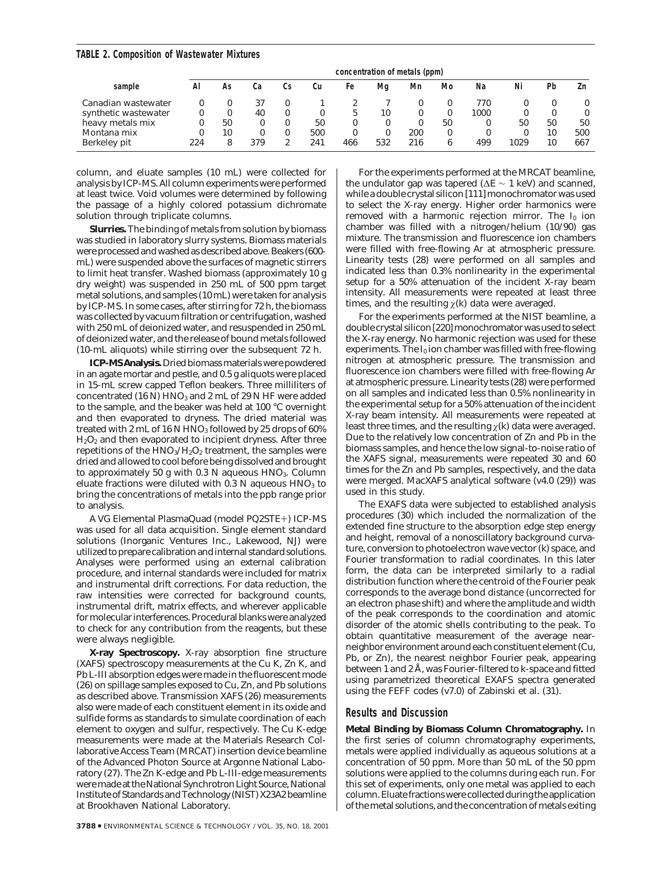## **TABLE 2. Composition of Wastewater Mixtures**

|                      | concentration of metals (ppm) |    |     |    |     |     |     |     |    |      |      |    |     |
|----------------------|-------------------------------|----|-----|----|-----|-----|-----|-----|----|------|------|----|-----|
| sample               | Al                            | As | Cа  | Cs | Cu  | Fe  | Mq  | Mn  | Mo | Na   | Ni   | Pb | Zn  |
| Canadian wastewater  |                               |    | 37  | O  |     |     |     |     |    | 770  |      |    | 0   |
| synthetic wastewater |                               |    | 40  | 0  |     | 5   | 10  |     |    | 1000 |      | O  | 0   |
| heavy metals mix     |                               | 50 | 0   | 0  | 50  | 0   |     | 0   | 50 |      | 50   | 50 | 50  |
| Montana mix          |                               | 10 |     | 0  | 500 | 0   |     | 200 |    |      |      | 10 | 500 |
| Berkeley pit         | 224                           |    | 379 |    | 241 | 466 | 532 | 216 | 6  | 499  | 1029 | 10 | 667 |

column, and eluate samples (10 mL) were collected for analysis by ICP-MS. All column experiments were performed at least twice. Void volumes were determined by following the passage of a highly colored potassium dichromate solution through triplicate columns.

**Slurries.** The binding of metals from solution by biomass was studied in laboratory slurry systems. Biomass materials were processed and washed as described above. Beakers (600 mL) were suspended above the surfaces of magnetic stirrers to limit heat transfer. Washed biomass (approximately 10 g dry weight) was suspended in 250 mL of 500 ppm target metal solutions, and samples (10 mL) were taken for analysis by ICP-MS. In some cases, after stirring for 72 h, the biomass was collected by vacuum filtration or centrifugation, washed with 250 mL of deionized water, and resuspended in 250 mL of deionized water, and the release of bound metals followed (10-mL aliquots) while stirring over the subsequent 72 h.

**ICP-MS Analysis.**Dried biomass materials were powdered in an agate mortar and pestle, and 0.5 g aliquots were placed in 15-mL screw capped Teflon beakers. Three milliliters of concentrated (16 N) HNO3 and 2 mL of 29 N HF were added to the sample, and the beaker was held at 100 °C overnight and then evaporated to dryness. The dried material was treated with 2 mL of 16 N HNO<sub>3</sub> followed by 25 drops of 60%  $H<sub>2</sub>O<sub>2</sub>$  and then evaporated to incipient dryness. After three repetitions of the HNO<sub>3</sub>/H<sub>2</sub>O<sub>2</sub> treatment, the samples were dried and allowed to cool before being dissolved and brought to approximately 50 g with  $0.3$  N aqueous  $HNO<sub>3</sub>$ . Column eluate fractions were diluted with  $0.3$  N aqueous  $HNO<sub>3</sub>$  to bring the concentrations of metals into the ppb range prior to analysis.

A VG Elemental PlasmaQuad (model PQ2STE+) ICP-MS was used for all data acquisition. Single element standard solutions (Inorganic Ventures Inc., Lakewood, NJ) were utilized to prepare calibration and internal standard solutions. Analyses were performed using an external calibration procedure, and internal standards were included for matrix and instrumental drift corrections. For data reduction, the raw intensities were corrected for background counts, instrumental drift, matrix effects, and wherever applicable for molecular interferences. Procedural blanks were analyzed to check for any contribution from the reagents, but these were always negligible.

**X-ray Spectroscopy.** X-ray absorption fine structure (XAFS) spectroscopy measurements at the Cu K, Zn K, and Pb L-III absorption edges were made in the fluorescent mode (*26*) on spillage samples exposed to Cu, Zn, and Pb solutions as described above. Transmission XAFS (*26*) measurements also were made of each constituent element in its oxide and sulfide forms as standards to simulate coordination of each element to oxygen and sulfur, respectively. The Cu K-edge measurements were made at the Materials Research Collaborative Access Team (MRCAT) insertion device beamline of the Advanced Photon Source at Argonne National Laboratory (*27*). The Zn K-edge and Pb L-III-edge measurements were made at the National Synchrotron Light Source, National Institute of Standards and Technology (NIST) X23A2 beamline at Brookhaven National Laboratory.

For the experiments performed at the MRCAT beamline, the undulator gap was tapered (∆*E* ∼ 1 keV) and scanned, while a double crystal silicon [111] monochromator was used to select the X-ray energy. Higher order harmonics were removed with a harmonic rejection mirror. The  $I_0$  ion chamber was filled with a nitrogen/helium (10/90) gas mixture. The transmission and fluorescence ion chambers were filled with free-flowing Ar at atmospheric pressure. Linearity tests (*28*) were performed on all samples and indicated less than 0.3% nonlinearity in the experimental setup for a 50% attenuation of the incident X-ray beam intensity. All measurements were repeated at least three times, and the resulting  $\chi$ (k) data were averaged.

For the experiments performed at the NIST beamline, a double crystal silicon [220] monochromator was used to select the X-ray energy. No harmonic rejection was used for these experiments. The  $I_0$  ion chamber was filled with free-flowing nitrogen at atmospheric pressure. The transmission and fluorescence ion chambers were filled with free-flowing Ar at atmospheric pressure. Linearity tests (*28*) were performed on all samples and indicated less than 0.5% nonlinearity in the experimental setup for a 50% attenuation of the incident X-ray beam intensity. All measurements were repeated at least three times, and the resulting  $\chi$ (k) data were averaged. Due to the relatively low concentration of Zn and Pb in the biomass samples, and hence the low signal-to-noise ratio of the XAFS signal, measurements were repeated 30 and 60 times for the Zn and Pb samples, respectively, and the data were merged. MacXAFS analytical software (v4.0 (*29*)) was used in this study.

The EXAFS data were subjected to established analysis procedures (*30*) which included the normalization of the extended fine structure to the absorption edge step energy and height, removal of a nonoscillatory background curvature, conversion to photoelectron wave vector (k) space, and Fourier transformation to radial coordinates. In this later form, the data can be interpreted similarly to a radial distribution function where the centroid of the Fourier peak corresponds to the average bond distance (uncorrected for an electron phase shift) and where the amplitude and width of the peak corresponds to the coordination and atomic disorder of the atomic shells contributing to the peak. To obtain quantitative measurement of the average nearneighbor environment around each constituent element (Cu, Pb, or Zn), the nearest neighbor Fourier peak, appearing between 1 and 2 Å, was Fourier-filtered to k-space and fitted using parametrized theoretical EXAFS spectra generated using the FEFF codes (v7.0) of Zabinski et al. (*31*).

# **Results and Discussion**

**Metal Binding by Biomass Column Chromatography.** In the first series of column chromatography experiments, metals were applied individually as aqueous solutions at a concentration of 50 ppm. More than 50 mL of the 50 ppm solutions were applied to the columns during each run. For this set of experiments, only one metal was applied to each column. Eluate fractions were collected during the application of the metal solutions, and the concentration of metals exiting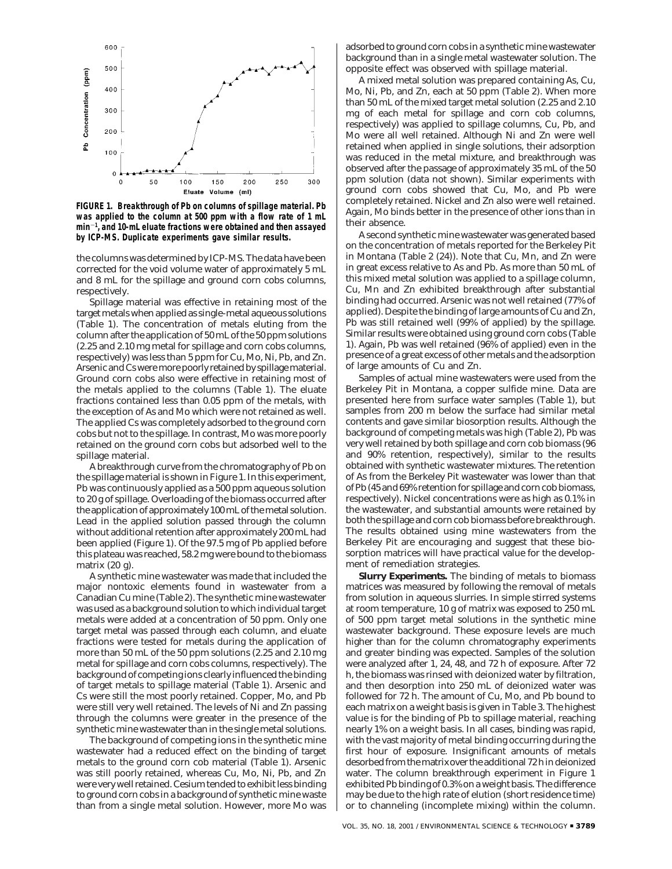

**FIGURE 1. Breakthrough of Pb on columns of spillage material. Pb was applied to the column at 500 ppm with a flow rate of 1 mL min**-**<sup>1</sup> , and 10-mL eluate fractions were obtained and then assayed by ICP-MS. Duplicate experiments gave similar results.**

the columns was determined by ICP-MS. The data have been corrected for the void volume water of approximately 5 mL and 8 mL for the spillage and ground corn cobs columns, respectively.

Spillage material was effective in retaining most of the target metals when applied as single-metal aqueous solutions (Table 1). The concentration of metals eluting from the column after the application of 50 mL of the 50 ppm solutions (2.25 and 2.10 mg metal for spillage and corn cobs columns, respectively) was less than 5 ppm for Cu, Mo, Ni, Pb, and Zn. Arsenic and Cs were more poorly retained by spillage material. Ground corn cobs also were effective in retaining most of the metals applied to the columns (Table 1). The eluate fractions contained less than 0.05 ppm of the metals, with the exception of As and Mo which were not retained as well. The applied Cs was completely adsorbed to the ground corn cobs but not to the spillage. In contrast, Mo was more poorly retained on the ground corn cobs but adsorbed well to the spillage material.

A breakthrough curve from the chromatography of Pb on the spillage material is shown in Figure 1. In this experiment, Pb was continuously applied as a 500 ppm aqueous solution to 20 g of spillage. Overloading of the biomass occurred after the application of approximately 100 mL of the metal solution. Lead in the applied solution passed through the column without additional retention after approximately 200 mL had been applied (Figure 1). Of the 97.5 mg of Pb applied before this plateau was reached, 58.2 mg were bound to the biomass matrix (20 g).

A synthetic mine wastewater was made that included the major nontoxic elements found in wastewater from a Canadian Cu mine (Table 2). The synthetic mine wastewater was used as a background solution to which individual target metals were added at a concentration of 50 ppm. Only one target metal was passed through each column, and eluate fractions were tested for metals during the application of more than 50 mL of the 50 ppm solutions (2.25 and 2.10 mg metal for spillage and corn cobs columns, respectively). The background of competing ions clearly influenced the binding of target metals to spillage material (Table 1). Arsenic and Cs were still the most poorly retained. Copper, Mo, and Pb were still very well retained. The levels of Ni and Zn passing through the columns were greater in the presence of the synthetic mine wastewater than in the single metal solutions.

The background of competing ions in the synthetic mine wastewater had a reduced effect on the binding of target metals to the ground corn cob material (Table 1). Arsenic was still poorly retained, whereas Cu, Mo, Ni, Pb, and Zn were very well retained. Cesium tended to exhibit less binding to ground corn cobs in a background of synthetic mine waste than from a single metal solution. However, more Mo was adsorbed to ground corn cobs in a synthetic mine wastewater background than in a single metal wastewater solution. The opposite effect was observed with spillage material.

A mixed metal solution was prepared containing As, Cu, Mo, Ni, Pb, and Zn, each at 50 ppm (Table 2). When more than 50 mL of the mixed target metal solution (2.25 and 2.10 mg of each metal for spillage and corn cob columns, respectively) was applied to spillage columns, Cu, Pb, and Mo were all well retained. Although Ni and Zn were well retained when applied in single solutions, their adsorption was reduced in the metal mixture, and breakthrough was observed after the passage of approximately 35 mL of the 50 ppm solution (data not shown). Similar experiments with ground corn cobs showed that Cu, Mo, and Pb were completely retained. Nickel and Zn also were well retained. Again, Mo binds better in the presence of other ions than in their absence.

A second synthetic mine wastewater was generated based on the concentration of metals reported for the Berkeley Pit in Montana (Table 2 (*24*)). Note that Cu, Mn, and Zn were in great excess relative to As and Pb. As more than 50 mL of this mixed metal solution was applied to a spillage column, Cu, Mn and Zn exhibited breakthrough after substantial binding had occurred. Arsenic was not well retained (77% of applied). Despite the binding of large amounts of Cu and Zn, Pb was still retained well (99% of applied) by the spillage. Similar results were obtained using ground corn cobs (Table 1). Again, Pb was well retained (96% of applied) even in the presence of a great excess of other metals and the adsorption of large amounts of Cu and Zn.

Samples of actual mine wastewaters were used from the Berkeley Pit in Montana, a copper sulfide mine. Data are presented here from surface water samples (Table 1), but samples from 200 m below the surface had similar metal contents and gave similar biosorption results. Although the background of competing metals was high (Table 2), Pb was very well retained by both spillage and corn cob biomass (96 and 90% retention, respectively), similar to the results obtained with synthetic wastewater mixtures. The retention of As from the Berkeley Pit wastewater was lower than that of Pb (45 and 69% retention for spillage and corn cob biomass, respectively). Nickel concentrations were as high as 0.1% in the wastewater, and substantial amounts were retained by both the spillage and corn cob biomass before breakthrough. The results obtained using mine wastewaters from the Berkeley Pit are encouraging and suggest that these biosorption matrices will have practical value for the development of remediation strategies.

**Slurry Experiments.** The binding of metals to biomass matrices was measured by following the removal of metals from solution in aqueous slurries. In simple stirred systems at room temperature, 10 g of matrix was exposed to 250 mL of 500 ppm target metal solutions in the synthetic mine wastewater background. These exposure levels are much higher than for the column chromatography experiments and greater binding was expected. Samples of the solution were analyzed after 1, 24, 48, and 72 h of exposure. After 72 h, the biomass was rinsed with deionized water by filtration, and then desorption into 250 mL of deionized water was followed for 72 h. The amount of Cu, Mo, and Pb bound to each matrix on a weight basis is given in Table 3. The highest value is for the binding of Pb to spillage material, reaching nearly 1% on a weight basis. In all cases, binding was rapid, with the vast majority of metal binding occurring during the first hour of exposure. Insignificant amounts of metals desorbed from the matrix over the additional 72 h in deionized water. The column breakthrough experiment in Figure 1 exhibited Pb binding of 0.3% on a weight basis. The difference may be due to the high rate of elution (short residence time) or to channeling (incomplete mixing) within the column.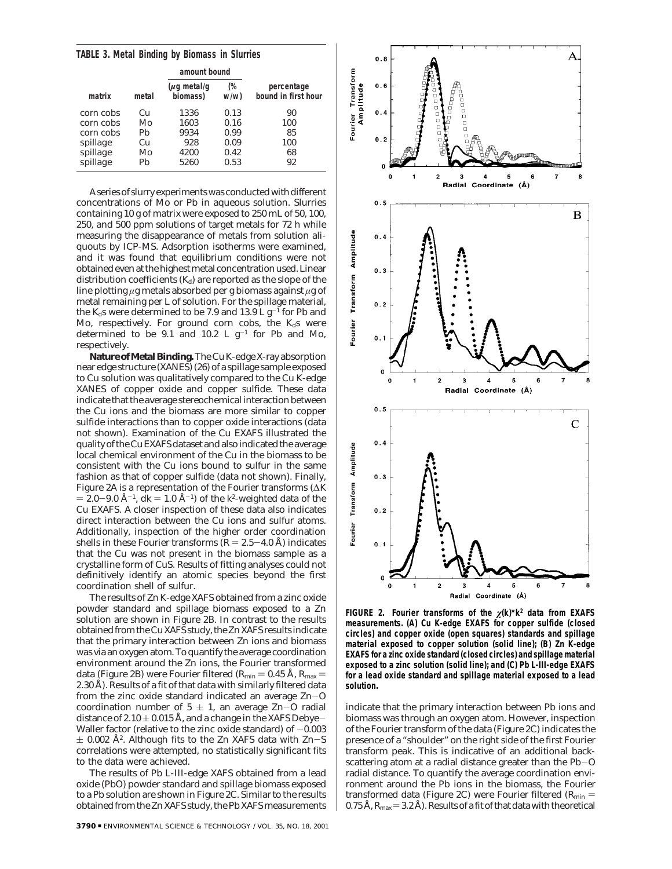## **TABLE 3. Metal Binding by Biomass in Slurries**

|           |       | amount bound                          |           |                                   |
|-----------|-------|---------------------------------------|-----------|-----------------------------------|
| matrix    | metal | $(\mu q \text{ metal/g})$<br>biomass) | (%<br>w/w | percentage<br>bound in first hour |
| corn cobs | Cu    | 1336                                  | 0.13      | 90                                |
| corn cobs | Mo    | 1603                                  | 0.16      | 100                               |
| corn cobs | Pb    | 9934                                  | 0.99      | 85                                |
| spillage  | Сu    | 928                                   | 0.09      | 100                               |
| spillage  | Mo    | 4200                                  | 0.42      | 68                                |
| spillage  | Pb    | 5260                                  | 0.53      | 92                                |

A series of slurry experiments was conducted with different concentrations of Mo or Pb in aqueous solution. Slurries containing 10 g of matrix were exposed to 250 mL of 50, 100, 250, and 500 ppm solutions of target metals for 72 h while measuring the disappearance of metals from solution aliquouts by ICP-MS. Adsorption isotherms were examined, and it was found that equilibrium conditions were not obtained even at the highest metal concentration used. Linear distribution coefficients  $(K_d)$  are reported as the slope of the line plotting *µ*g metals absorbed per g biomass against *µ*g of metal remaining per L of solution. For the spillage material, the  $K_d$ s were determined to be 7.9 and 13.9 L  $g^{-1}$  for Pb and Mo, respectively. For ground corn cobs, the  $K_d$ s were determined to be 9.1 and 10.2 L  $g^{-1}$  for Pb and Mo, respectively.

**Nature of Metal Binding.** The Cu K-edge X-ray absorption near edge structure (XANES) (*26*) of a spillage sample exposed to Cu solution was qualitatively compared to the Cu K-edge XANES of copper oxide and copper sulfide. These data indicate that the average stereochemical interaction between the Cu ions and the biomass are more similar to copper sulfide interactions than to copper oxide interactions (data not shown). Examination of the Cu EXAFS illustrated the quality of the Cu EXAFS dataset and also indicated the average local chemical environment of the Cu in the biomass to be consistent with the Cu ions bound to sulfur in the same fashion as that of copper sulfide (data not shown). Finally, Figure 2A is a representation of the Fourier transforms (∆*K*  $= 2.0 - 9.0$  Å<sup>-1</sup>, dk  $= 1.0$  Å<sup>-1</sup>) of the k<sup>2</sup>-weighted data of the Cu EXAFS. A closer inspection of these data also indicates direct interaction between the Cu ions and sulfur atoms. Additionally, inspection of the higher order coordination shells in these Fourier transforms  $(R = 2.5 - 4.0 \text{ Å})$  indicates that the Cu was not present in the biomass sample as a crystalline form of CuS. Results of fitting analyses could not definitively identify an atomic species beyond the first coordination shell of sulfur.

The results of Zn K-edge XAFS obtained from a zinc oxide powder standard and spillage biomass exposed to a Zn solution are shown in Figure 2B. In contrast to the results obtained from the Cu XAFS study, the Zn XAFS results indicate that the primary interaction between Zn ions and biomass was via an oxygen atom. To quantify the average coordination environment around the Zn ions, the Fourier transformed data (Figure 2B) were Fourier filtered ( $R_{\text{min}} = 0.45$  Å,  $R_{\text{max}} =$ 2.30 Å). Results of a fit of that data with similarly filtered data from the zinc oxide standard indicated an average Zn-<sup>O</sup> coordination number of  $5 \pm 1$ , an average Zn-O radial distance of 2.10  $\pm$  0.015 Å, and a change in the XAFS Debye-Waller factor (relative to the zinc oxide standard) of  $-0.003$  $\pm$  0.002 Å<sup>2</sup>. Although fits to the Zn XAFS data with Zn-S correlations were attempted, no statistically significant fits to the data were achieved.

The results of Pb L-III-edge XAFS obtained from a lead oxide (PbO) powder standard and spillage biomass exposed to a Pb solution are shown in Figure 2C. Similar to the results obtained from the Zn XAFS study, the Pb XAFS measurements



**FIGURE 2. Fourier transforms of the**  $\chi$ **(k)<sup>\*</sup>k<sup>2</sup> data from EXAFS measurements. (A) Cu K-edge EXAFS for copper sulfide (closed circles) and copper oxide (open squares) standards and spillage material exposed to copper solution (solid line); (B) Zn K-edge EXAFS for a zinc oxide standard (closed circles) and spillage material exposed to a zinc solution (solid line); and (C) Pb L-III-edge EXAFS for a lead oxide standard and spillage material exposed to a lead solution.**

indicate that the primary interaction between Pb ions and biomass was through an oxygen atom. However, inspection of the Fourier transform of the data (Figure 2C) indicates the presence of a "shoulder" on the right side of the first Fourier transform peak. This is indicative of an additional backscattering atom at a radial distance greater than the Pb-<sup>O</sup> radial distance. To quantify the average coordination environment around the Pb ions in the biomass, the Fourier transformed data (Figure 2C) were Fourier filtered ( $R_{\text{min}} =$ 0.75 Å,  $R_{\text{max}}$  = 3.2 Å). Results of a fit of that data with theoretical